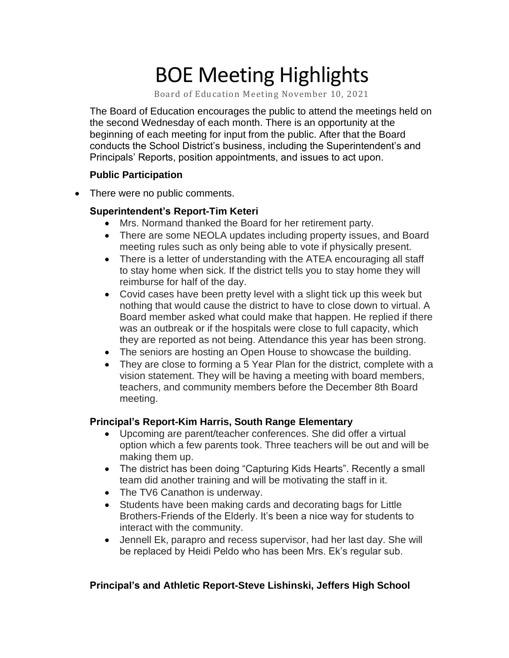# BOE Meeting Highlights

Board of Education Meeting November 10, 2021

 The Board of Education encourages the public to attend the meetings held on the second Wednesday of each month. There is an opportunity at the beginning of each meeting for input from the public. After that the Board conducts the School District's business, including the Superintendent's and Principals' Reports, position appointments, and issues to act upon.

#### **Public Participation**

• There were no public comments.

### **Superintendent's Report-Tim Keteri**

- Mrs. Normand thanked the Board for her retirement party.
- • There are some NEOLA updates including property issues, and Board meeting rules such as only being able to vote if physically present.
- There is a letter of understanding with the ATEA encouraging all staff to stay home when sick. If the district tells you to stay home they will reimburse for half of the day.
- • Covid cases have been pretty level with a slight tick up this week but nothing that would cause the district to have to close down to virtual. A Board member asked what could make that happen. He replied if there was an outbreak or if the hospitals were close to full capacity, which they are reported as not being. Attendance this year has been strong.
- The seniors are hosting an Open House to showcase the building.
- • They are close to forming a 5 Year Plan for the district, complete with a vision statement. They will be having a meeting with board members, teachers, and community members before the December 8th Board meeting.

# **Principal's Report-Kim Harris, South Range Elementary**

- • Upcoming are parent/teacher conferences. She did offer a virtual option which a few parents took. Three teachers will be out and will be making them up.
- • The district has been doing "Capturing Kids Hearts". Recently a small team did another training and will be motivating the staff in it.
- The TV6 Canathon is underway.
- • Students have been making cards and decorating bags for Little Brothers-Friends of the Elderly. It's been a nice way for students to interact with the community.
- • Jennell Ek, parapro and recess supervisor, had her last day. She will be replaced by Heidi Peldo who has been Mrs. Ek's regular sub.

# **Principal's and Athletic Report-Steve Lishinski, Jeffers High School**